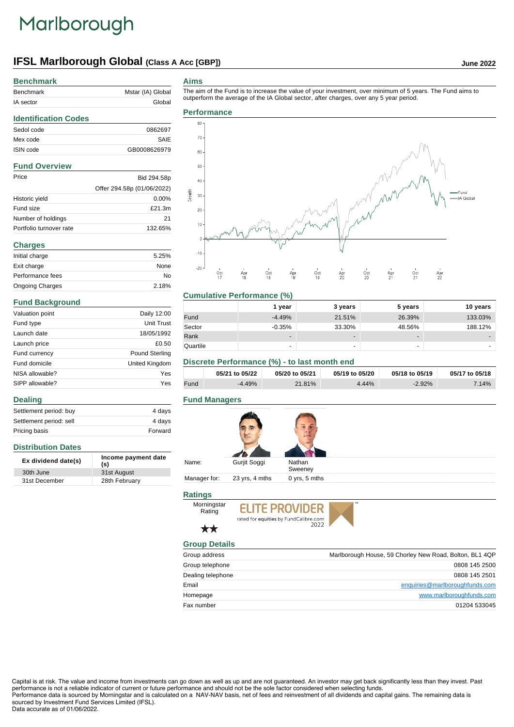# Marlborough

**Benchmark**

# **IFSL Marlborough Global (Class A Acc [GBP]) June 2022**

| Benchmark                   | Mstar (IA) Global          |
|-----------------------------|----------------------------|
| IA sector                   | Global                     |
| <b>Identification Codes</b> |                            |
| Sedol code                  | 0862697                    |
| Mex code                    | SAIE                       |
| ISIN code                   | GB0008626979               |
| <b>Fund Overview</b>        |                            |
| Price                       | Bid 294.58p                |
|                             | Offer 294.58p (01/06/2022) |
| Historic yield              | 0.00%                      |
| Fund size                   | £21.3m                     |
| Number of holdings          | 21                         |
| Portfolio turnover rate     | 132.65%                    |
| <b>Charges</b>              |                            |
| Initial charge              | 5.25%                      |

| Initial charge         | 5.25% |
|------------------------|-------|
| Exit charge            | None  |
| Performance fees       | No    |
| <b>Ongoing Charges</b> | 2.18% |

### **Fund Background**

**Distribution Dates**

**Dealing**

| Valuation point | Daily 12:00           |
|-----------------|-----------------------|
| Fund type       | Unit Trust            |
| Launch date     | 18/05/1992            |
| Launch price    | £0.50                 |
| Fund currency   | <b>Pound Sterling</b> |
| Fund domicile   | United Kingdom        |
| NISA allowable? | Yes                   |
| SIPP allowable? | Yes                   |

Settlement period: buy 4 days Settlement period: sell 4 days Pricing basis **Forward** 

**Ex dividend date(s) Income payment date (s)**

30th June 31st August 31st December 28th February

#### **Aims**

The aim of the Fund is to increase the value of your investment, over minimum of 5 years. The Fund aims to outperform the average of the IA Global sector, after charges, over any 5 year period.



#### **Cumulative Performance (%)**

|          | l year                   | 3 years                  | 5 years                  | 10 years |
|----------|--------------------------|--------------------------|--------------------------|----------|
| Fund     | $-4.49%$                 | 21.51%                   | 26.39%                   | 133.03%  |
| Sector   | $-0.35%$                 | 33.30%                   | 48.56%                   | 188.12%  |
| Rank     | $\overline{\phantom{a}}$ | $\overline{\phantom{0}}$ | $\overline{\phantom{a}}$ | -        |
| Quartile | ۰                        | $\overline{\phantom{0}}$ | $\overline{\phantom{a}}$ |          |

### **Discrete Performance (%) - to last month end**

|      | 05/21 to 05/22 | 05/20 to 05/21 | 05/19 to 05/20 | 05/18 to 05/19 | 05/17 to 05/18 |
|------|----------------|----------------|----------------|----------------|----------------|
| Fund | $-4.49%$       | 21.81%         | 4.44%          | $-2.92%$       | $7.14\%$       |

#### **Fund Managers**

| Name:        | Gurjit Soggi   | Nathan<br>Sweeney |
|--------------|----------------|-------------------|
| Manager for: | 23 yrs, 4 mths | 0 yrs, 5 mths     |

## **Ratings**





## $\star\star$ **Group Details**

| Group address     | Marlborough House, 59 Chorley New Road, Bolton, BL1 4QP |
|-------------------|---------------------------------------------------------|
| Group telephone   | 0808 145 2500                                           |
| Dealing telephone | 0808 145 2501                                           |
| Email             | enquiries@marlboroughfunds.com                          |
| Homepage          | www.marlboroughfunds.com                                |
| Fax number        | 01204 533045                                            |

Capital is at risk. The value and income from investments can go down as well as up and are not guaranteed. An investor may get back significantly less than they invest. Past performance is not a reliable indicator of current or future performance and should not be the sole factor considered when selecting funds. Performance data is sourced by Morningstar and is calculated on a NAV-NAV basis, net of fees and reinvestment of all dividends and capital gains. The remaining data is sourced by Investment Fund Services Limited (IFSL).

#### Data accurate as of 01/06/2022.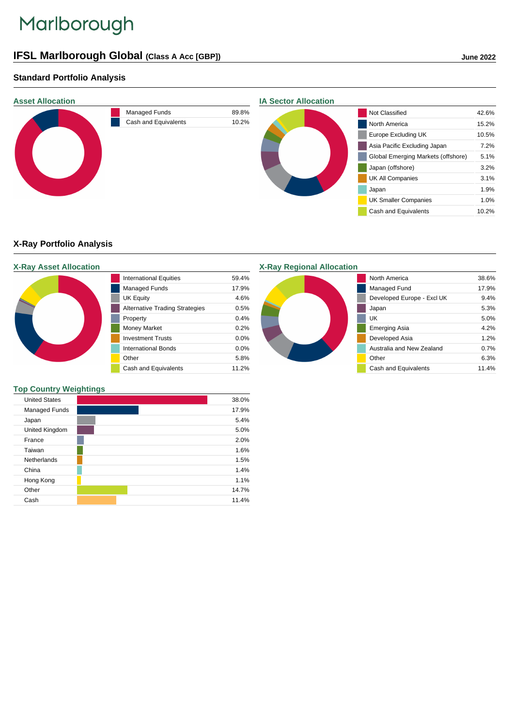# Marlborough

## **IFSL Marlborough Global (Class A Acc [GBP]) June 2022**

## **Standard Portfolio Analysis**



## **X-Ray Portfolio Analysis**

## **X-Ray Asset Allocation** International Equities 59.4% Managed Funds 17.9% UK Equity 4.6% Alternative Trading Strategies 0.5% Property 0.4% Money Market 0.2% Investment Trusts 0.0% International Bonds 0.0% Other 5.8% Cash and Equivalents 11.2%

## **Top Country Weightings**

| <b>United States</b> |  |  |  | 38.0% |
|----------------------|--|--|--|-------|
| Managed Funds        |  |  |  | 17.9% |
| Japan                |  |  |  | 5.4%  |
| United Kingdom       |  |  |  | 5.0%  |
| France               |  |  |  | 2.0%  |
| Taiwan               |  |  |  | 1.6%  |
| Netherlands          |  |  |  | 1.5%  |
| China                |  |  |  | 1.4%  |
| Hong Kong            |  |  |  | 1.1%  |
| Other                |  |  |  | 14.7% |
| Cash                 |  |  |  | 11.4% |

### **X-Ray Regional Allocation**



| North America              | 38.6% |
|----------------------------|-------|
| Managed Fund               | 17.9% |
| Developed Europe - Excl UK | 9.4%  |
| Japan                      | 5.3%  |
| UK                         | 5.0%  |
| Emerging Asia              | 4 2%  |
| Developed Asia             | 1.2%  |
| Australia and New Zealand  | 0.7%  |
| Other                      | 6.3%  |
| Cash and Equivalents       | 11.4% |
|                            |       |